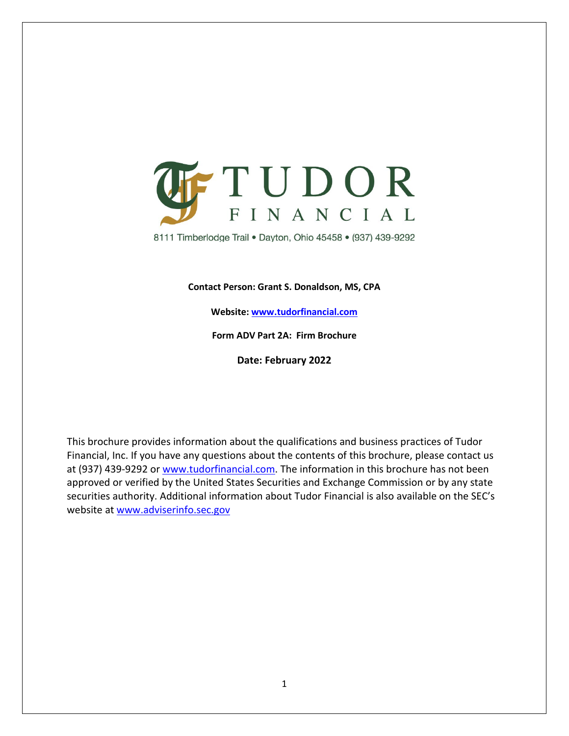

8111 Timberlodge Trail . Dayton, Ohio 45458 . (937) 439-9292

**Contact Person: Grant S. Donaldson, MS, CPA**

**Website: www.tudorfinancial.com**

**Form ADV Part 2A: Firm Brochure**

**Date: February 2022**

This brochure provides information about the qualifications and business practices of Tudor Financial, Inc. If you have any questions about the contents of this brochure, please contact us at (937) 439-9292 or [www.tudorfinancial.com.](http://www.tudorfinancial.com/) The information in this brochure has not been approved or verified by the United States Securities and Exchange Commission or by any state securities authority. Additional information about Tudor Financial is also available on the SEC's website at [www.adviserinfo.sec.gov](http://www.adviserinfo.sec.gov/)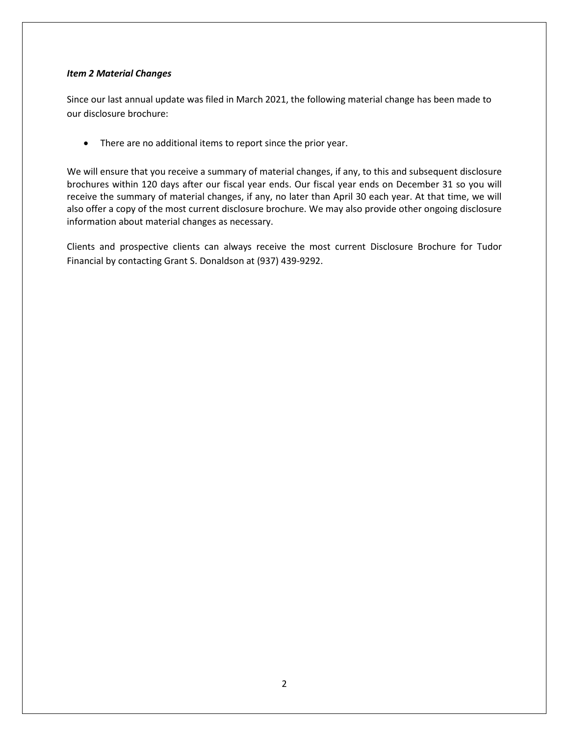#### <span id="page-1-0"></span>*Item 2 Material Changes*

Since our last annual update was filed in March 2021, the following material change has been made to our disclosure brochure:

• There are no additional items to report since the prior year.

We will ensure that you receive a summary of material changes, if any, to this and subsequent disclosure brochures within 120 days after our fiscal year ends. Our fiscal year ends on December 31 so you will receive the summary of material changes, if any, no later than April 30 each year. At that time, we will also offer a copy of the most current disclosure brochure. We may also provide other ongoing disclosure information about material changes as necessary.

Clients and prospective clients can always receive the most current Disclosure Brochure for Tudor Financial by contacting Grant S. Donaldson at (937) 439-9292.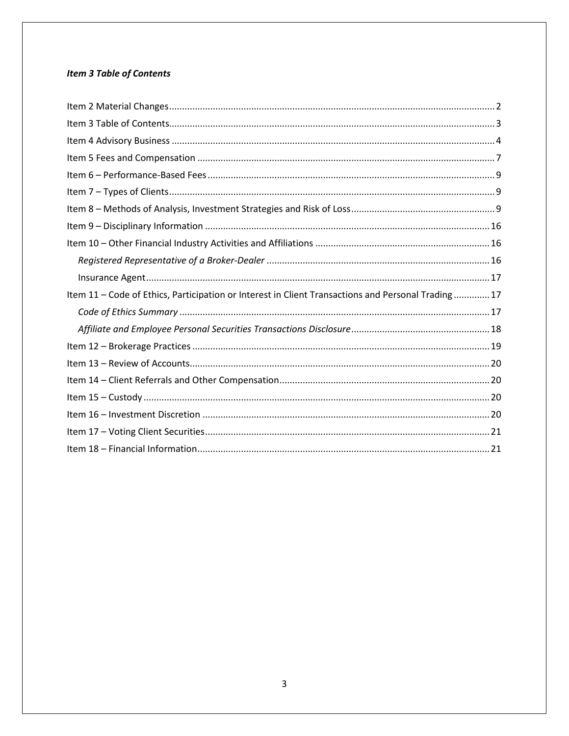# <span id="page-2-0"></span>**Item 3 Table of Contents**

| Item 11 - Code of Ethics, Participation or Interest in Client Transactions and Personal Trading17 |
|---------------------------------------------------------------------------------------------------|
|                                                                                                   |
|                                                                                                   |
|                                                                                                   |
|                                                                                                   |
|                                                                                                   |
|                                                                                                   |
|                                                                                                   |
|                                                                                                   |
|                                                                                                   |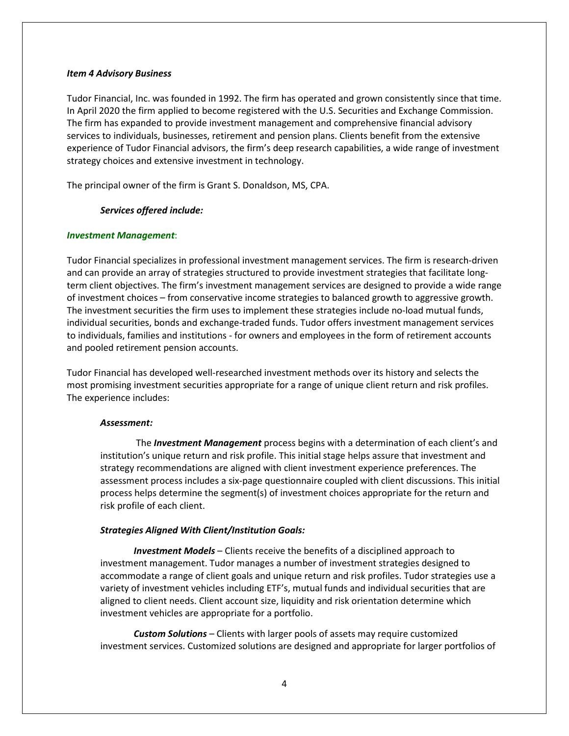#### <span id="page-3-0"></span>*Item 4 Advisory Business*

Tudor Financial, Inc. was founded in 1992. The firm has operated and grown consistently since that time. In April 2020 the firm applied to become registered with the U.S. Securities and Exchange Commission. The firm has expanded to provide investment management and comprehensive financial advisory services to individuals, businesses, retirement and pension plans. Clients benefit from the extensive experience of Tudor Financial advisors, the firm's deep research capabilities, a wide range of investment strategy choices and extensive investment in technology.

The principal owner of the firm is Grant S. Donaldson, MS, CPA.

#### *Services offered include:*

#### *Investment Management*:

Tudor Financial specializes in professional investment management services. The firm is research-driven and can provide an array of strategies structured to provide investment strategies that facilitate longterm client objectives. The firm's investment management services are designed to provide a wide range of investment choices – from conservative income strategies to balanced growth to aggressive growth. The investment securities the firm uses to implement these strategies include no-load mutual funds, individual securities, bonds and exchange-traded funds. Tudor offers investment management services to individuals, families and institutions - for owners and employees in the form of retirement accounts and pooled retirement pension accounts.

Tudor Financial has developed well-researched investment methods over its history and selects the most promising investment securities appropriate for a range of unique client return and risk profiles. The experience includes:

#### *Assessment:*

The *Investment Management* process begins with a determination of each client's and institution's unique return and risk profile. This initial stage helps assure that investment and strategy recommendations are aligned with client investment experience preferences. The assessment process includes a six-page questionnaire coupled with client discussions. This initial process helps determine the segment(s) of investment choices appropriate for the return and risk profile of each client.

#### *Strategies Aligned With Client/Institution Goals:*

*Investment Models* – Clients receive the benefits of a disciplined approach to investment management. Tudor manages a number of investment strategies designed to accommodate a range of client goals and unique return and risk profiles. Tudor strategies use a variety of investment vehicles including ETF's, mutual funds and individual securities that are aligned to client needs. Client account size, liquidity and risk orientation determine which investment vehicles are appropriate for a portfolio.

*Custom Solutions* – Clients with larger pools of assets may require customized investment services. Customized solutions are designed and appropriate for larger portfolios of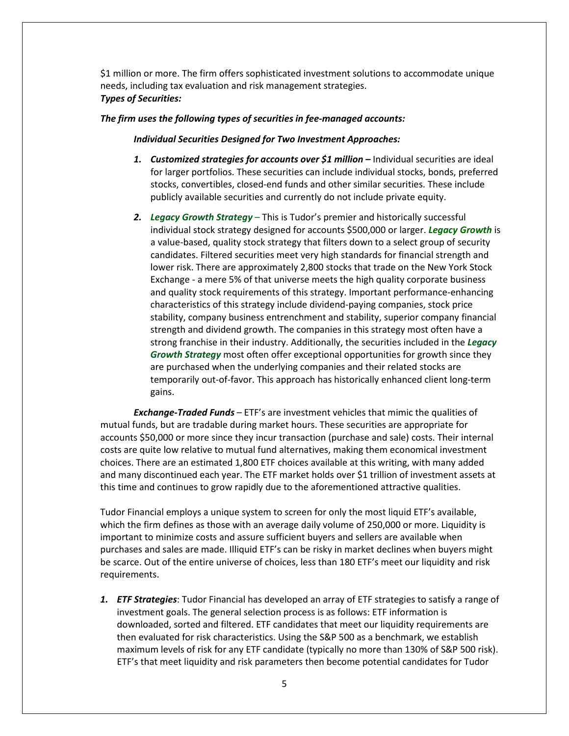\$1 million or more. The firm offers sophisticated investment solutions to accommodate unique needs, including tax evaluation and risk management strategies. *Types of Securities:* 

#### *The firm uses the following types of securities in fee-managed accounts:*

#### *Individual Securities Designed for Two Investment Approaches:*

- *1. Customized strategies for accounts over \$1 million –* Individual securities are ideal for larger portfolios. These securities can include individual stocks, bonds, preferred stocks, convertibles, closed-end funds and other similar securities. These include publicly available securities and currently do not include private equity.
- *2. Legacy Growth Strategy* This is Tudor's premier and historically successful individual stock strategy designed for accounts \$500,000 or larger. *Legacy Growth* is a value-based, quality stock strategy that filters down to a select group of security candidates. Filtered securities meet very high standards for financial strength and lower risk. There are approximately 2,800 stocks that trade on the New York Stock Exchange - a mere 5% of that universe meets the high quality corporate business and quality stock requirements of this strategy. Important performance-enhancing characteristics of this strategy include dividend-paying companies, stock price stability, company business entrenchment and stability, superior company financial strength and dividend growth. The companies in this strategy most often have a strong franchise in their industry. Additionally, the securities included in the *Legacy Growth Strategy* most often offer exceptional opportunities for growth since they are purchased when the underlying companies and their related stocks are temporarily out-of-favor. This approach has historically enhanced client long-term gains.

*Exchange-Traded Funds* – ETF's are investment vehicles that mimic the qualities of mutual funds, but are tradable during market hours. These securities are appropriate for accounts \$50,000 or more since they incur transaction (purchase and sale) costs. Their internal costs are quite low relative to mutual fund alternatives, making them economical investment choices. There are an estimated 1,800 ETF choices available at this writing, with many added and many discontinued each year. The ETF market holds over \$1 trillion of investment assets at this time and continues to grow rapidly due to the aforementioned attractive qualities.

Tudor Financial employs a unique system to screen for only the most liquid ETF's available, which the firm defines as those with an average daily volume of 250,000 or more. Liquidity is important to minimize costs and assure sufficient buyers and sellers are available when purchases and sales are made. Illiquid ETF's can be risky in market declines when buyers might be scarce. Out of the entire universe of choices, less than 180 ETF's meet our liquidity and risk requirements.

*1. ETF Strategies*: Tudor Financial has developed an array of ETF strategies to satisfy a range of investment goals. The general selection process is as follows: ETF information is downloaded, sorted and filtered. ETF candidates that meet our liquidity requirements are then evaluated for risk characteristics. Using the S&P 500 as a benchmark, we establish maximum levels of risk for any ETF candidate (typically no more than 130% of S&P 500 risk). ETF's that meet liquidity and risk parameters then become potential candidates for Tudor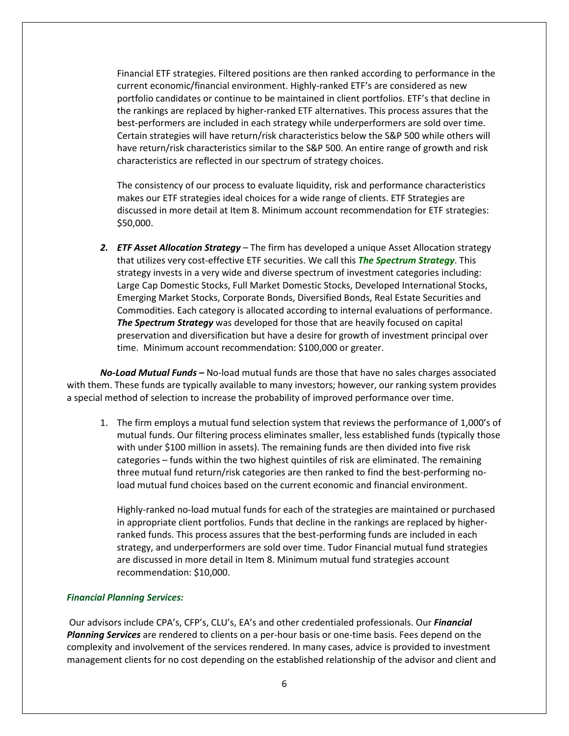Financial ETF strategies. Filtered positions are then ranked according to performance in the current economic/financial environment. Highly-ranked ETF's are considered as new portfolio candidates or continue to be maintained in client portfolios. ETF's that decline in the rankings are replaced by higher-ranked ETF alternatives. This process assures that the best-performers are included in each strategy while underperformers are sold over time. Certain strategies will have return/risk characteristics below the S&P 500 while others will have return/risk characteristics similar to the S&P 500. An entire range of growth and risk characteristics are reflected in our spectrum of strategy choices.

The consistency of our process to evaluate liquidity, risk and performance characteristics makes our ETF strategies ideal choices for a wide range of clients. ETF Strategies are discussed in more detail at Item 8. Minimum account recommendation for ETF strategies: \$50,000.

*2. ETF Asset Allocation Strategy* – The firm has developed a unique Asset Allocation strategy that utilizes very cost-effective ETF securities. We call this *The Spectrum Strategy*. This strategy invests in a very wide and diverse spectrum of investment categories including: Large Cap Domestic Stocks, Full Market Domestic Stocks, Developed International Stocks, Emerging Market Stocks, Corporate Bonds, Diversified Bonds, Real Estate Securities and Commodities. Each category is allocated according to internal evaluations of performance. *The Spectrum Strategy* was developed for those that are heavily focused on capital preservation and diversification but have a desire for growth of investment principal over time. Minimum account recommendation: \$100,000 or greater.

*No-Load Mutual Funds –* No-load mutual funds are those that have no sales charges associated with them. These funds are typically available to many investors; however, our ranking system provides a special method of selection to increase the probability of improved performance over time.

1. The firm employs a mutual fund selection system that reviews the performance of 1,000's of mutual funds. Our filtering process eliminates smaller, less established funds (typically those with under \$100 million in assets). The remaining funds are then divided into five risk categories – funds within the two highest quintiles of risk are eliminated. The remaining three mutual fund return/risk categories are then ranked to find the best-performing noload mutual fund choices based on the current economic and financial environment.

Highly-ranked no-load mutual funds for each of the strategies are maintained or purchased in appropriate client portfolios. Funds that decline in the rankings are replaced by higherranked funds. This process assures that the best-performing funds are included in each strategy, and underperformers are sold over time. Tudor Financial mutual fund strategies are discussed in more detail in Item 8. Minimum mutual fund strategies account recommendation: \$10,000.

#### *Financial Planning Services:*

Our advisors include CPA's, CFP's, CLU's, EA's and other credentialed professionals. Our *Financial Planning Services* are rendered to clients on a per-hour basis or one-time basis. Fees depend on the complexity and involvement of the services rendered. In many cases, advice is provided to investment management clients for no cost depending on the established relationship of the advisor and client and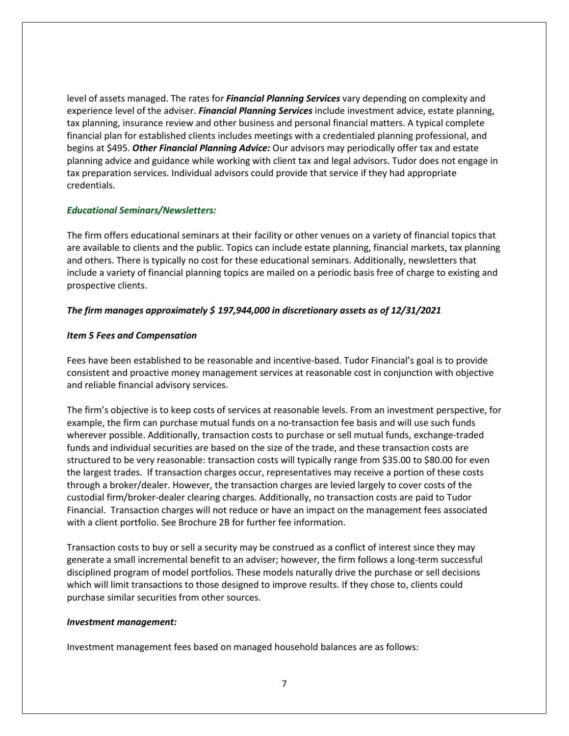level of assets managed. The rates for *Financial Planning Services* vary depending on complexity and experience level of the adviser. *Financial Planning Services* include investment advice, estate planning, tax planning, insurance review and other business and personal financial matters. A typical complete financial plan for established clients includes meetings with a credentialed planning professional, and begins at \$495. *Other Financial Planning Advice:* Our advisors may periodically offer tax and estate planning advice and guidance while working with client tax and legal advisors. Tudor does not engage in tax preparation services. Individual advisors could provide that service if they had appropriate credentials.

#### *Educational Seminars/Newsletters:*

The firm offers educational seminars at their facility or other venues on a variety of financial topics that are available to clients and the public. Topics can include estate planning, financial markets, tax planning and others. There is typically no cost for these educational seminars. Additionally, newsletters that include a variety of financial planning topics are mailed on a periodic basis free of charge to existing and prospective clients.

#### *The firm manages approximately \$ 197,944,000 in discretionary assets as of 12/31/2021*

#### <span id="page-6-0"></span>*Item 5 Fees and Compensation*

Fees have been established to be reasonable and incentive-based. Tudor Financial's goal is to provide consistent and proactive money management services at reasonable cost in conjunction with objective and reliable financial advisory services.

The firm's objective is to keep costs of services at reasonable levels. From an investment perspective, for example, the firm can purchase mutual funds on a no-transaction fee basis and will use such funds wherever possible. Additionally, transaction costs to purchase or sell mutual funds, exchange-traded funds and individual securities are based on the size of the trade, and these transaction costs are structured to be very reasonable: transaction costs will typically range from \$35.00 to \$80.00 for even the largest trades. If transaction charges occur, representatives may receive a portion of these costs through a broker/dealer. However, the transaction charges are levied largely to cover costs of the custodial firm/broker-dealer clearing charges. Additionally, no transaction costs are paid to Tudor Financial. Transaction charges will not reduce or have an impact on the management fees associated with a client portfolio. See Brochure 2B for further fee information.

Transaction costs to buy or sell a security may be construed as a conflict of interest since they may generate a small incremental benefit to an adviser; however, the firm follows a long-term successful disciplined program of model portfolios. These models naturally drive the purchase or sell decisions which will limit transactions to those designed to improve results. If they chose to, clients could purchase similar securities from other sources.

#### *Investment management:*

Investment management fees based on managed household balances are as follows: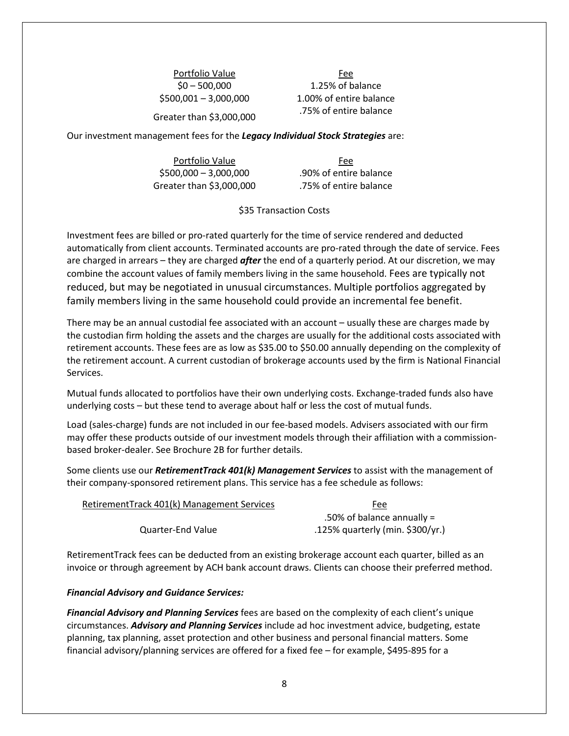Portfolio Value **Fee** 

\$0 – 500,000 1.25% of balance \$500,001 – 3,000,000 1.00% of entire balance Greater than \$3,000,000 .75% of entire balance

Our investment management fees for the *Legacy Individual Stock Strategies* are:

Portfolio Value Fee \$500,000 – 3,000,000 .90% of entire balance Greater than \$3,000,000 .75% of entire balance

#### \$35 Transaction Costs

Investment fees are billed or pro-rated quarterly for the time of service rendered and deducted automatically from client accounts. Terminated accounts are pro-rated through the date of service. Fees are charged in arrears – they are charged *after* the end of a quarterly period. At our discretion, we may combine the account values of family members living in the same household. Fees are typically not reduced, but may be negotiated in unusual circumstances. Multiple portfolios aggregated by family members living in the same household could provide an incremental fee benefit.

There may be an annual custodial fee associated with an account – usually these are charges made by the custodian firm holding the assets and the charges are usually for the additional costs associated with retirement accounts. These fees are as low as \$35.00 to \$50.00 annually depending on the complexity of the retirement account. A current custodian of brokerage accounts used by the firm is National Financial Services.

Mutual funds allocated to portfolios have their own underlying costs. Exchange-traded funds also have underlying costs – but these tend to average about half or less the cost of mutual funds.

Load (sales-charge) funds are not included in our fee-based models. Advisers associated with our firm may offer these products outside of our investment models through their affiliation with a commissionbased broker-dealer. See Brochure 2B for further details.

Some clients use our *RetirementTrack 401(k) Management Services* to assist with the management of their company-sponsored retirement plans. This service has a fee schedule as follows:

| RetirementTrack 401(k) Management Services | Fee                              |
|--------------------------------------------|----------------------------------|
|                                            | .50% of balance annually $=$     |
| Quarter-End Value                          | .125% quarterly (min. \$300/yr.) |

RetirementTrack fees can be deducted from an existing brokerage account each quarter, billed as an invoice or through agreement by ACH bank account draws. Clients can choose their preferred method.

#### *Financial Advisory and Guidance Services:*

*Financial Advisory and Planning Services* fees are based on the complexity of each client's unique circumstances. *Advisory and Planning Services* include ad hoc investment advice, budgeting, estate planning, tax planning, asset protection and other business and personal financial matters. Some financial advisory/planning services are offered for a fixed fee – for example, \$495-895 for a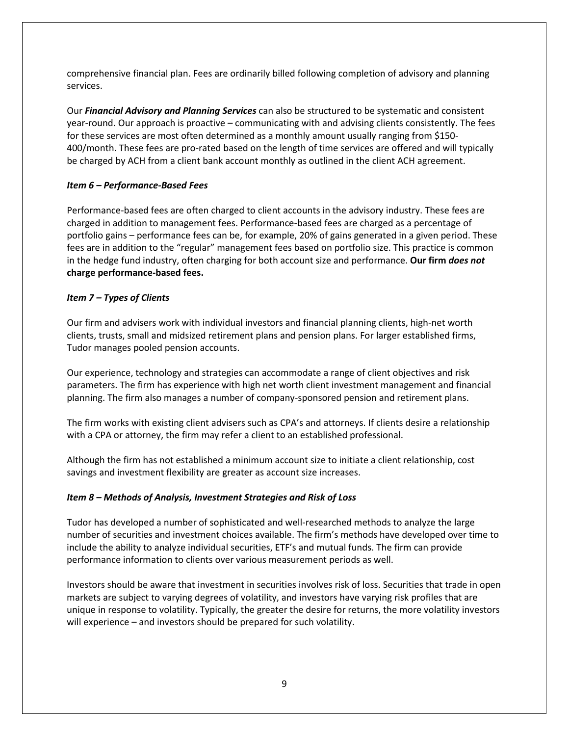comprehensive financial plan. Fees are ordinarily billed following completion of advisory and planning services.

Our *Financial Advisory and Planning Services* can also be structured to be systematic and consistent year-round. Our approach is proactive – communicating with and advising clients consistently. The fees for these services are most often determined as a monthly amount usually ranging from \$150- 400/month. These fees are pro-rated based on the length of time services are offered and will typically be charged by ACH from a client bank account monthly as outlined in the client ACH agreement.

# <span id="page-8-0"></span>*Item 6 – Performance-Based Fees*

Performance-based fees are often charged to client accounts in the advisory industry. These fees are charged in addition to management fees. Performance-based fees are charged as a percentage of portfolio gains – performance fees can be, for example, 20% of gains generated in a given period. These fees are in addition to the "regular" management fees based on portfolio size. This practice is common in the hedge fund industry, often charging for both account size and performance. **Our firm** *does not* **charge performance-based fees.**

# <span id="page-8-1"></span>*Item 7 – Types of Clients*

Our firm and advisers work with individual investors and financial planning clients, high-net worth clients, trusts, small and midsized retirement plans and pension plans. For larger established firms, Tudor manages pooled pension accounts.

Our experience, technology and strategies can accommodate a range of client objectives and risk parameters. The firm has experience with high net worth client investment management and financial planning. The firm also manages a number of company-sponsored pension and retirement plans.

The firm works with existing client advisers such as CPA's and attorneys. If clients desire a relationship with a CPA or attorney, the firm may refer a client to an established professional.

Although the firm has not established a minimum account size to initiate a client relationship, cost savings and investment flexibility are greater as account size increases.

### <span id="page-8-2"></span>*Item 8 – Methods of Analysis, Investment Strategies and Risk of Loss*

Tudor has developed a number of sophisticated and well-researched methods to analyze the large number of securities and investment choices available. The firm's methods have developed over time to include the ability to analyze individual securities, ETF's and mutual funds. The firm can provide performance information to clients over various measurement periods as well.

Investors should be aware that investment in securities involves risk of loss. Securities that trade in open markets are subject to varying degrees of volatility, and investors have varying risk profiles that are unique in response to volatility. Typically, the greater the desire for returns, the more volatility investors will experience – and investors should be prepared for such volatility.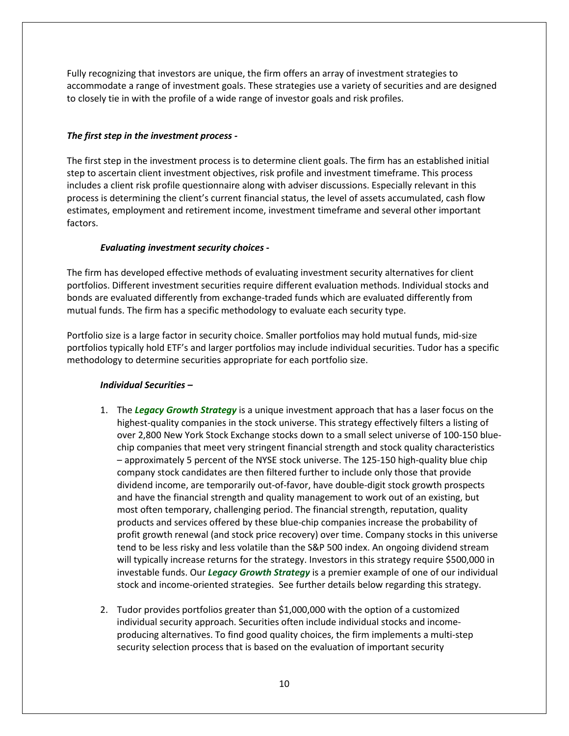Fully recognizing that investors are unique, the firm offers an array of investment strategies to accommodate a range of investment goals. These strategies use a variety of securities and are designed to closely tie in with the profile of a wide range of investor goals and risk profiles.

### *The first step in the investment process -*

The first step in the investment process is to determine client goals. The firm has an established initial step to ascertain client investment objectives, risk profile and investment timeframe. This process includes a client risk profile questionnaire along with adviser discussions. Especially relevant in this process is determining the client's current financial status, the level of assets accumulated, cash flow estimates, employment and retirement income, investment timeframe and several other important factors.

# *Evaluating investment security choices -*

The firm has developed effective methods of evaluating investment security alternatives for client portfolios. Different investment securities require different evaluation methods. Individual stocks and bonds are evaluated differently from exchange-traded funds which are evaluated differently from mutual funds. The firm has a specific methodology to evaluate each security type.

Portfolio size is a large factor in security choice. Smaller portfolios may hold mutual funds, mid-size portfolios typically hold ETF's and larger portfolios may include individual securities. Tudor has a specific methodology to determine securities appropriate for each portfolio size.

# *Individual Securities –*

- 1. The *Legacy Growth Strategy* is a unique investment approach that has a laser focus on the highest-quality companies in the stock universe. This strategy effectively filters a listing of over 2,800 New York Stock Exchange stocks down to a small select universe of 100-150 bluechip companies that meet very stringent financial strength and stock quality characteristics – approximately 5 percent of the NYSE stock universe. The 125-150 high-quality blue chip company stock candidates are then filtered further to include only those that provide dividend income, are temporarily out-of-favor, have double-digit stock growth prospects and have the financial strength and quality management to work out of an existing, but most often temporary, challenging period. The financial strength, reputation, quality products and services offered by these blue-chip companies increase the probability of profit growth renewal (and stock price recovery) over time. Company stocks in this universe tend to be less risky and less volatile than the S&P 500 index. An ongoing dividend stream will typically increase returns for the strategy. Investors in this strategy require \$500,000 in investable funds. Our *Legacy Growth Strategy* is a premier example of one of our individual stock and income-oriented strategies. See further details below regarding this strategy.
- 2. Tudor provides portfolios greater than \$1,000,000 with the option of a customized individual security approach. Securities often include individual stocks and incomeproducing alternatives. To find good quality choices, the firm implements a multi-step security selection process that is based on the evaluation of important security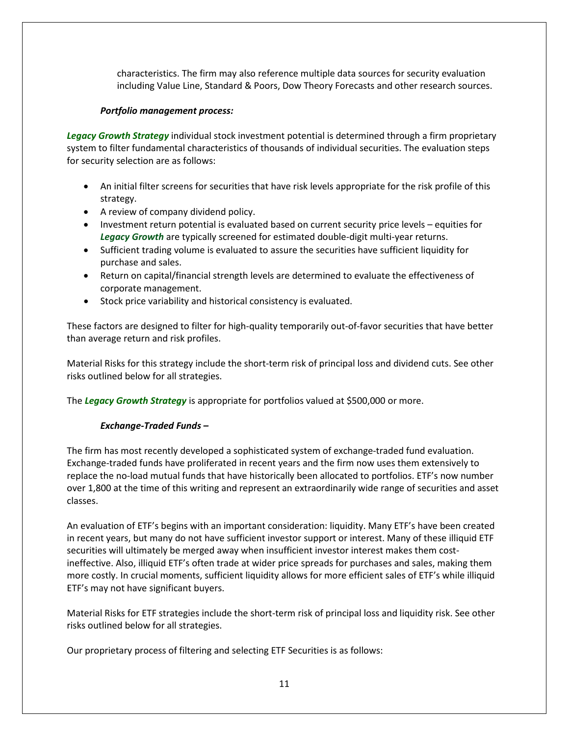characteristics. The firm may also reference multiple data sources for security evaluation including Value Line, Standard & Poors, Dow Theory Forecasts and other research sources.

### *Portfolio management process:*

*Legacy Growth Strategy* individual stock investment potential is determined through a firm proprietary system to filter fundamental characteristics of thousands of individual securities. The evaluation steps for security selection are as follows:

- An initial filter screens for securities that have risk levels appropriate for the risk profile of this strategy.
- A review of company dividend policy.
- Investment return potential is evaluated based on current security price levels equities for *Legacy Growth* are typically screened for estimated double-digit multi-year returns.
- Sufficient trading volume is evaluated to assure the securities have sufficient liquidity for purchase and sales.
- Return on capital/financial strength levels are determined to evaluate the effectiveness of corporate management.
- Stock price variability and historical consistency is evaluated.

These factors are designed to filter for high-quality temporarily out-of-favor securities that have better than average return and risk profiles.

Material Risks for this strategy include the short-term risk of principal loss and dividend cuts. See other risks outlined below for all strategies.

The *Legacy Growth Strategy* is appropriate for portfolios valued at \$500,000 or more.

# *Exchange-Traded Funds –*

The firm has most recently developed a sophisticated system of exchange-traded fund evaluation. Exchange-traded funds have proliferated in recent years and the firm now uses them extensively to replace the no-load mutual funds that have historically been allocated to portfolios. ETF's now number over 1,800 at the time of this writing and represent an extraordinarily wide range of securities and asset classes.

An evaluation of ETF's begins with an important consideration: liquidity. Many ETF's have been created in recent years, but many do not have sufficient investor support or interest. Many of these illiquid ETF securities will ultimately be merged away when insufficient investor interest makes them costineffective. Also, illiquid ETF's often trade at wider price spreads for purchases and sales, making them more costly. In crucial moments, sufficient liquidity allows for more efficient sales of ETF's while illiquid ETF's may not have significant buyers.

Material Risks for ETF strategies include the short-term risk of principal loss and liquidity risk. See other risks outlined below for all strategies.

Our proprietary process of filtering and selecting ETF Securities is as follows: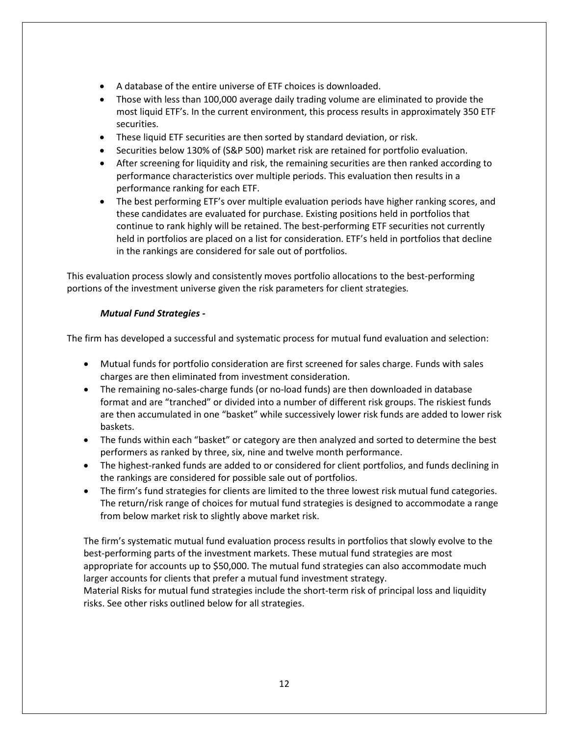- A database of the entire universe of ETF choices is downloaded.
- Those with less than 100,000 average daily trading volume are eliminated to provide the most liquid ETF's. In the current environment, this process results in approximately 350 ETF securities.
- These liquid ETF securities are then sorted by standard deviation, or risk.
- Securities below 130% of (S&P 500) market risk are retained for portfolio evaluation.
- After screening for liquidity and risk, the remaining securities are then ranked according to performance characteristics over multiple periods. This evaluation then results in a performance ranking for each ETF.
- The best performing ETF's over multiple evaluation periods have higher ranking scores, and these candidates are evaluated for purchase. Existing positions held in portfolios that continue to rank highly will be retained. The best-performing ETF securities not currently held in portfolios are placed on a list for consideration. ETF's held in portfolios that decline in the rankings are considered for sale out of portfolios.

This evaluation process slowly and consistently moves portfolio allocations to the best-performing portions of the investment universe given the risk parameters for client strategies.

### *Mutual Fund Strategies -*

The firm has developed a successful and systematic process for mutual fund evaluation and selection:

- Mutual funds for portfolio consideration are first screened for sales charge. Funds with sales charges are then eliminated from investment consideration.
- The remaining no-sales-charge funds (or no-load funds) are then downloaded in database format and are "tranched" or divided into a number of different risk groups. The riskiest funds are then accumulated in one "basket" while successively lower risk funds are added to lower risk baskets.
- The funds within each "basket" or category are then analyzed and sorted to determine the best performers as ranked by three, six, nine and twelve month performance.
- The highest-ranked funds are added to or considered for client portfolios, and funds declining in the rankings are considered for possible sale out of portfolios.
- The firm's fund strategies for clients are limited to the three lowest risk mutual fund categories. The return/risk range of choices for mutual fund strategies is designed to accommodate a range from below market risk to slightly above market risk.

The firm's systematic mutual fund evaluation process results in portfolios that slowly evolve to the best-performing parts of the investment markets. These mutual fund strategies are most appropriate for accounts up to \$50,000. The mutual fund strategies can also accommodate much larger accounts for clients that prefer a mutual fund investment strategy.

Material Risks for mutual fund strategies include the short-term risk of principal loss and liquidity risks. See other risks outlined below for all strategies.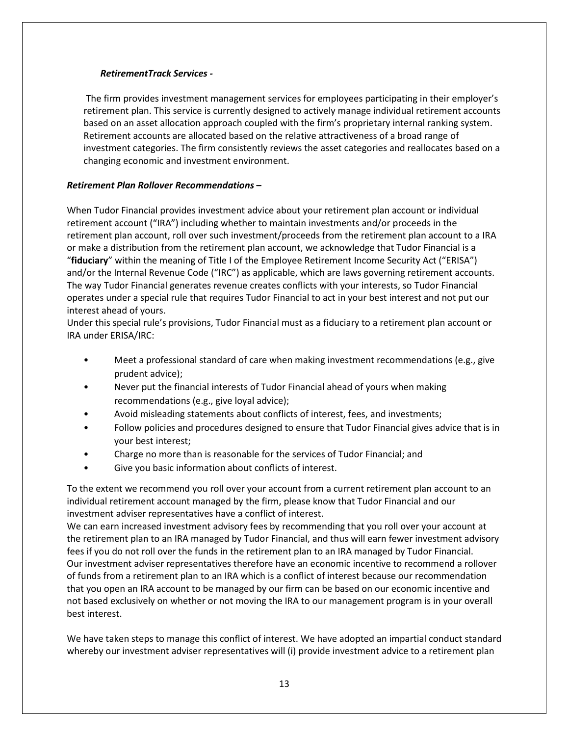### *RetirementTrack Services -*

The firm provides investment management services for employees participating in their employer's retirement plan. This service is currently designed to actively manage individual retirement accounts based on an asset allocation approach coupled with the firm's proprietary internal ranking system. Retirement accounts are allocated based on the relative attractiveness of a broad range of investment categories. The firm consistently reviews the asset categories and reallocates based on a changing economic and investment environment.

### *Retirement Plan Rollover Recommendations* **–**

When Tudor Financial provides investment advice about your retirement plan account or individual retirement account ("IRA") including whether to maintain investments and/or proceeds in the retirement plan account, roll over such investment/proceeds from the retirement plan account to a IRA or make a distribution from the retirement plan account, we acknowledge that Tudor Financial is a "**fiduciary**" within the meaning of Title I of the Employee Retirement Income Security Act ("ERISA") and/or the Internal Revenue Code ("IRC") as applicable, which are laws governing retirement accounts. The way Tudor Financial generates revenue creates conflicts with your interests, so Tudor Financial operates under a special rule that requires Tudor Financial to act in your best interest and not put our interest ahead of yours.

Under this special rule's provisions, Tudor Financial must as a fiduciary to a retirement plan account or IRA under ERISA/IRC:

- Meet a professional standard of care when making investment recommendations (e.g., give prudent advice);
- Never put the financial interests of Tudor Financial ahead of yours when making recommendations (e.g., give loyal advice);
- Avoid misleading statements about conflicts of interest, fees, and investments;
- Follow policies and procedures designed to ensure that Tudor Financial gives advice that is in your best interest;
- Charge no more than is reasonable for the services of Tudor Financial; and
- Give you basic information about conflicts of interest.

To the extent we recommend you roll over your account from a current retirement plan account to an individual retirement account managed by the firm, please know that Tudor Financial and our investment adviser representatives have a conflict of interest.

We can earn increased investment advisory fees by recommending that you roll over your account at the retirement plan to an IRA managed by Tudor Financial, and thus will earn fewer investment advisory fees if you do not roll over the funds in the retirement plan to an IRA managed by Tudor Financial. Our investment adviser representatives therefore have an economic incentive to recommend a rollover of funds from a retirement plan to an IRA which is a conflict of interest because our recommendation that you open an IRA account to be managed by our firm can be based on our economic incentive and not based exclusively on whether or not moving the IRA to our management program is in your overall best interest.

We have taken steps to manage this conflict of interest. We have adopted an impartial conduct standard whereby our investment adviser representatives will (i) provide investment advice to a retirement plan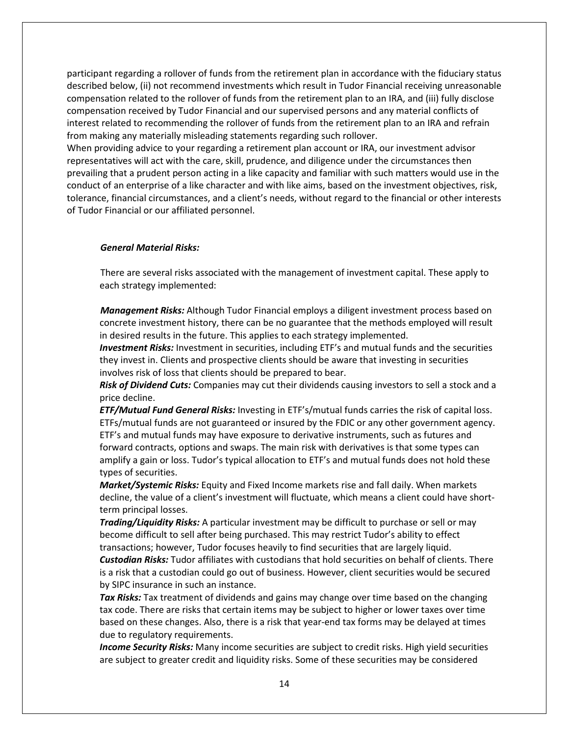participant regarding a rollover of funds from the retirement plan in accordance with the fiduciary status described below, (ii) not recommend investments which result in Tudor Financial receiving unreasonable compensation related to the rollover of funds from the retirement plan to an IRA, and (iii) fully disclose compensation received by Tudor Financial and our supervised persons and any material conflicts of interest related to recommending the rollover of funds from the retirement plan to an IRA and refrain from making any materially misleading statements regarding such rollover.

When providing advice to your regarding a retirement plan account or IRA, our investment advisor representatives will act with the care, skill, prudence, and diligence under the circumstances then prevailing that a prudent person acting in a like capacity and familiar with such matters would use in the conduct of an enterprise of a like character and with like aims, based on the investment objectives, risk, tolerance, financial circumstances, and a client's needs, without regard to the financial or other interests of Tudor Financial or our affiliated personnel.

### *General Material Risks:*

There are several risks associated with the management of investment capital. These apply to each strategy implemented:

*Management Risks:* Although Tudor Financial employs a diligent investment process based on concrete investment history, there can be no guarantee that the methods employed will result in desired results in the future. This applies to each strategy implemented.

*Investment Risks:* Investment in securities, including ETF's and mutual funds and the securities they invest in. Clients and prospective clients should be aware that investing in securities involves risk of loss that clients should be prepared to bear.

*Risk of Dividend Cuts:* Companies may cut their dividends causing investors to sell a stock and a price decline.

*ETF/Mutual Fund General Risks:* Investing in ETF's/mutual funds carries the risk of capital loss. ETFs/mutual funds are not guaranteed or insured by the FDIC or any other government agency. ETF's and mutual funds may have exposure to derivative instruments, such as futures and forward contracts, options and swaps. The main risk with derivatives is that some types can amplify a gain or loss. Tudor's typical allocation to ETF's and mutual funds does not hold these types of securities.

*Market/Systemic Risks:* Equity and Fixed Income markets rise and fall daily. When markets decline, the value of a client's investment will fluctuate, which means a client could have shortterm principal losses.

*Trading/Liquidity Risks:* A particular investment may be difficult to purchase or sell or may become difficult to sell after being purchased. This may restrict Tudor's ability to effect transactions; however, Tudor focuses heavily to find securities that are largely liquid. *Custodian Risks:* Tudor affiliates with custodians that hold securities on behalf of clients. There is a risk that a custodian could go out of business. However, client securities would be secured by SIPC insurance in such an instance.

*Tax Risks:* Tax treatment of dividends and gains may change over time based on the changing tax code. There are risks that certain items may be subject to higher or lower taxes over time based on these changes. Also, there is a risk that year-end tax forms may be delayed at times due to regulatory requirements.

*Income Security Risks:* Many income securities are subject to credit risks. High yield securities are subject to greater credit and liquidity risks. Some of these securities may be considered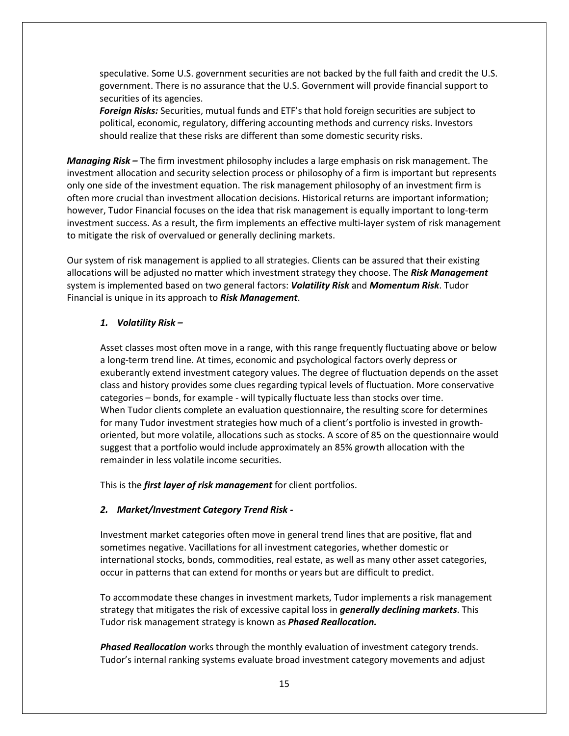speculative. Some U.S. government securities are not backed by the full faith and credit the U.S. government. There is no assurance that the U.S. Government will provide financial support to securities of its agencies.

*Foreign Risks:* Securities, mutual funds and ETF's that hold foreign securities are subject to political, economic, regulatory, differing accounting methods and currency risks. Investors should realize that these risks are different than some domestic security risks.

*Managing Risk –* The firm investment philosophy includes a large emphasis on risk management. The investment allocation and security selection process or philosophy of a firm is important but represents only one side of the investment equation. The risk management philosophy of an investment firm is often more crucial than investment allocation decisions. Historical returns are important information; however, Tudor Financial focuses on the idea that risk management is equally important to long-term investment success. As a result, the firm implements an effective multi-layer system of risk management to mitigate the risk of overvalued or generally declining markets.

Our system of risk management is applied to all strategies. Clients can be assured that their existing allocations will be adjusted no matter which investment strategy they choose. The *Risk Management* system is implemented based on two general factors: *Volatility Risk* and *Momentum Risk*. Tudor Financial is unique in its approach to *Risk Management*.

#### *1. Volatility Risk –*

Asset classes most often move in a range, with this range frequently fluctuating above or below a long-term trend line. At times, economic and psychological factors overly depress or exuberantly extend investment category values. The degree of fluctuation depends on the asset class and history provides some clues regarding typical levels of fluctuation. More conservative categories – bonds, for example - will typically fluctuate less than stocks over time. When Tudor clients complete an evaluation questionnaire, the resulting score for determines for many Tudor investment strategies how much of a client's portfolio is invested in growthoriented, but more volatile, allocations such as stocks. A score of 85 on the questionnaire would suggest that a portfolio would include approximately an 85% growth allocation with the remainder in less volatile income securities.

This is the *first layer of risk management* for client portfolios.

### *2. Market/Investment Category Trend Risk -*

Investment market categories often move in general trend lines that are positive, flat and sometimes negative. Vacillations for all investment categories, whether domestic or international stocks, bonds, commodities, real estate, as well as many other asset categories, occur in patterns that can extend for months or years but are difficult to predict.

To accommodate these changes in investment markets, Tudor implements a risk management strategy that mitigates the risk of excessive capital loss in *generally declining markets*. This Tudor risk management strategy is known as *Phased Reallocation.*

*Phased Reallocation* works through the monthly evaluation of investment category trends. Tudor's internal ranking systems evaluate broad investment category movements and adjust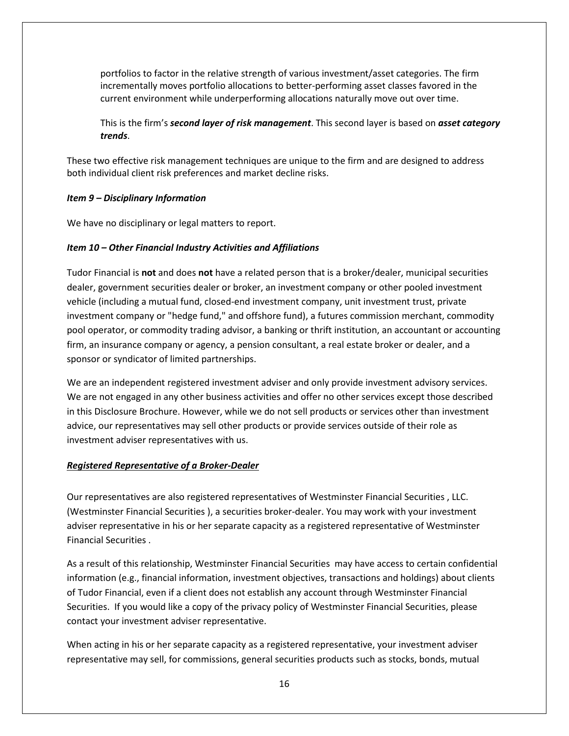portfolios to factor in the relative strength of various investment/asset categories. The firm incrementally moves portfolio allocations to better-performing asset classes favored in the current environment while underperforming allocations naturally move out over time.

This is the firm's *second layer of risk management*. This second layer is based on *asset category trends*.

These two effective risk management techniques are unique to the firm and are designed to address both individual client risk preferences and market decline risks.

#### <span id="page-15-0"></span>*Item 9 – Disciplinary Information*

We have no disciplinary or legal matters to report.

#### <span id="page-15-1"></span>*Item 10 – Other Financial Industry Activities and Affiliations*

Tudor Financial is **not** and does **not** have a related person that is a broker/dealer, municipal securities dealer, government securities dealer or broker, an investment company or other pooled investment vehicle (including a mutual fund, closed-end investment company, unit investment trust, private investment company or "hedge fund," and offshore fund), a futures commission merchant, commodity pool operator, or commodity trading advisor, a banking or thrift institution, an accountant or accounting firm, an insurance company or agency, a pension consultant, a real estate broker or dealer, and a sponsor or syndicator of limited partnerships.

We are an independent registered investment adviser and only provide investment advisory services. We are not engaged in any other business activities and offer no other services except those described in this Disclosure Brochure. However, while we do not sell products or services other than investment advice, our representatives may sell other products or provide services outside of their role as investment adviser representatives with us.

#### <span id="page-15-2"></span>*Registered Representative of a Broker-Dealer*

Our representatives are also registered representatives of Westminster Financial Securities , LLC. (Westminster Financial Securities ), a securities broker-dealer. You may work with your investment adviser representative in his or her separate capacity as a registered representative of Westminster Financial Securities .

As a result of this relationship, Westminster Financial Securities may have access to certain confidential information (e.g., financial information, investment objectives, transactions and holdings) about clients of Tudor Financial, even if a client does not establish any account through Westminster Financial Securities. If you would like a copy of the privacy policy of Westminster Financial Securities, please contact your investment adviser representative.

When acting in his or her separate capacity as a registered representative, your investment adviser representative may sell, for commissions, general securities products such as stocks, bonds, mutual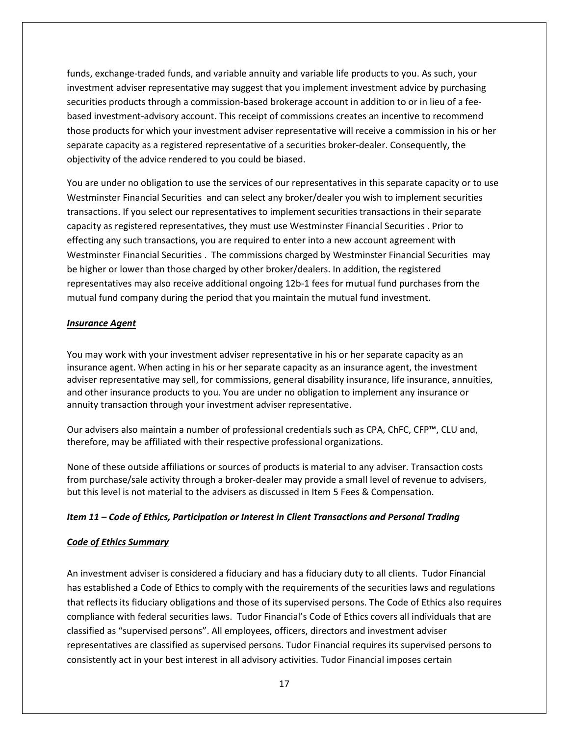funds, exchange-traded funds, and variable annuity and variable life products to you. As such, your investment adviser representative may suggest that you implement investment advice by purchasing securities products through a commission-based brokerage account in addition to or in lieu of a feebased investment-advisory account. This receipt of commissions creates an incentive to recommend those products for which your investment adviser representative will receive a commission in his or her separate capacity as a registered representative of a securities broker-dealer. Consequently, the objectivity of the advice rendered to you could be biased.

You are under no obligation to use the services of our representatives in this separate capacity or to use Westminster Financial Securities and can select any broker/dealer you wish to implement securities transactions. If you select our representatives to implement securities transactions in their separate capacity as registered representatives, they must use Westminster Financial Securities . Prior to effecting any such transactions, you are required to enter into a new account agreement with Westminster Financial Securities . The commissions charged by Westminster Financial Securities may be higher or lower than those charged by other broker/dealers. In addition, the registered representatives may also receive additional ongoing 12b-1 fees for mutual fund purchases from the mutual fund company during the period that you maintain the mutual fund investment.

#### <span id="page-16-0"></span>*Insurance Agent*

You may work with your investment adviser representative in his or her separate capacity as an insurance agent. When acting in his or her separate capacity as an insurance agent, the investment adviser representative may sell, for commissions, general disability insurance, life insurance, annuities, and other insurance products to you. You are under no obligation to implement any insurance or annuity transaction through your investment adviser representative.

Our advisers also maintain a number of professional credentials such as CPA, ChFC, CFP™, CLU and, therefore, may be affiliated with their respective professional organizations.

None of these outside affiliations or sources of products is material to any adviser. Transaction costs from purchase/sale activity through a broker-dealer may provide a small level of revenue to advisers, but this level is not material to the advisers as discussed in Item 5 Fees & Compensation.

### <span id="page-16-1"></span>*Item 11 – Code of Ethics, Participation or Interest in Client Transactions and Personal Trading*

### <span id="page-16-2"></span>*Code of Ethics Summary*

An investment adviser is considered a fiduciary and has a fiduciary duty to all clients. Tudor Financial has established a Code of Ethics to comply with the requirements of the securities laws and regulations that reflects its fiduciary obligations and those of its supervised persons. The Code of Ethics also requires compliance with federal securities laws. Tudor Financial's Code of Ethics covers all individuals that are classified as "supervised persons". All employees, officers, directors and investment adviser representatives are classified as supervised persons. Tudor Financial requires its supervised persons to consistently act in your best interest in all advisory activities. Tudor Financial imposes certain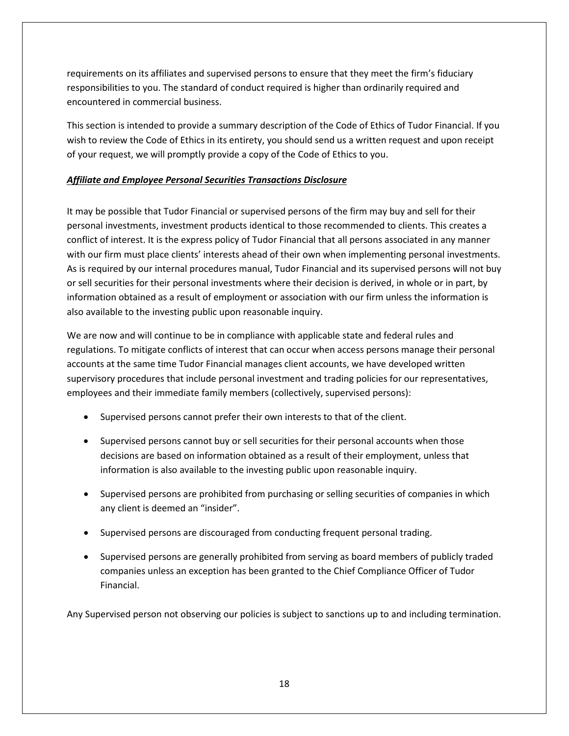requirements on its affiliates and supervised persons to ensure that they meet the firm's fiduciary responsibilities to you. The standard of conduct required is higher than ordinarily required and encountered in commercial business.

This section is intended to provide a summary description of the Code of Ethics of Tudor Financial. If you wish to review the Code of Ethics in its entirety, you should send us a written request and upon receipt of your request, we will promptly provide a copy of the Code of Ethics to you.

# <span id="page-17-0"></span>*Affiliate and Employee Personal Securities Transactions Disclosure*

It may be possible that Tudor Financial or supervised persons of the firm may buy and sell for their personal investments, investment products identical to those recommended to clients. This creates a conflict of interest. It is the express policy of Tudor Financial that all persons associated in any manner with our firm must place clients' interests ahead of their own when implementing personal investments. As is required by our internal procedures manual, Tudor Financial and its supervised persons will not buy or sell securities for their personal investments where their decision is derived, in whole or in part, by information obtained as a result of employment or association with our firm unless the information is also available to the investing public upon reasonable inquiry.

We are now and will continue to be in compliance with applicable state and federal rules and regulations. To mitigate conflicts of interest that can occur when access persons manage their personal accounts at the same time Tudor Financial manages client accounts, we have developed written supervisory procedures that include personal investment and trading policies for our representatives, employees and their immediate family members (collectively, supervised persons):

- Supervised persons cannot prefer their own interests to that of the client.
- Supervised persons cannot buy or sell securities for their personal accounts when those decisions are based on information obtained as a result of their employment, unless that information is also available to the investing public upon reasonable inquiry.
- Supervised persons are prohibited from purchasing or selling securities of companies in which any client is deemed an "insider".
- Supervised persons are discouraged from conducting frequent personal trading.
- Supervised persons are generally prohibited from serving as board members of publicly traded companies unless an exception has been granted to the Chief Compliance Officer of Tudor Financial.

Any Supervised person not observing our policies is subject to sanctions up to and including termination.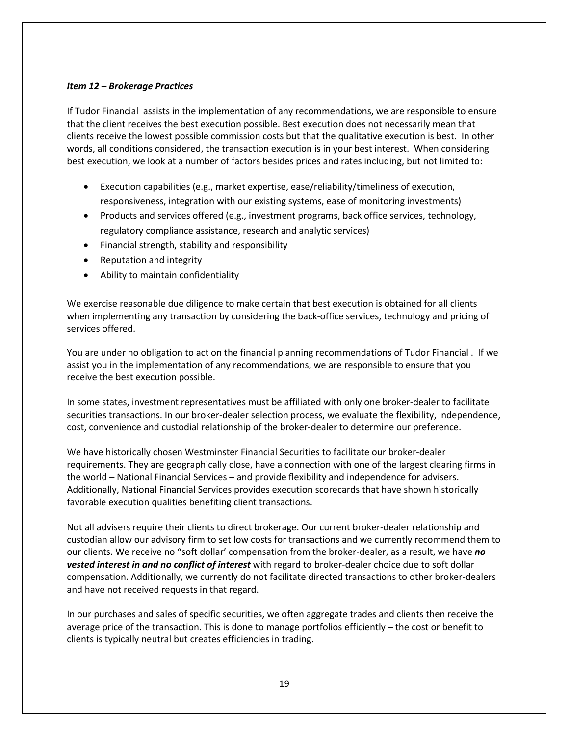### <span id="page-18-0"></span>*Item 12 – Brokerage Practices*

If Tudor Financial assists in the implementation of any recommendations, we are responsible to ensure that the client receives the best execution possible. Best execution does not necessarily mean that clients receive the lowest possible commission costs but that the qualitative execution is best. In other words, all conditions considered, the transaction execution is in your best interest. When considering best execution, we look at a number of factors besides prices and rates including, but not limited to:

- Execution capabilities (e.g., market expertise, ease/reliability/timeliness of execution, responsiveness, integration with our existing systems, ease of monitoring investments)
- Products and services offered (e.g., investment programs, back office services, technology, regulatory compliance assistance, research and analytic services)
- Financial strength, stability and responsibility
- Reputation and integrity
- Ability to maintain confidentiality

We exercise reasonable due diligence to make certain that best execution is obtained for all clients when implementing any transaction by considering the back-office services, technology and pricing of services offered.

You are under no obligation to act on the financial planning recommendations of Tudor Financial . If we assist you in the implementation of any recommendations, we are responsible to ensure that you receive the best execution possible.

In some states, investment representatives must be affiliated with only one broker-dealer to facilitate securities transactions. In our broker-dealer selection process, we evaluate the flexibility, independence, cost, convenience and custodial relationship of the broker-dealer to determine our preference.

We have historically chosen Westminster Financial Securities to facilitate our broker-dealer requirements. They are geographically close, have a connection with one of the largest clearing firms in the world – National Financial Services – and provide flexibility and independence for advisers. Additionally, National Financial Services provides execution scorecards that have shown historically favorable execution qualities benefiting client transactions.

Not all advisers require their clients to direct brokerage. Our current broker-dealer relationship and custodian allow our advisory firm to set low costs for transactions and we currently recommend them to our clients. We receive no "soft dollar' compensation from the broker-dealer, as a result, we have *no vested interest in and no conflict of interest* with regard to broker-dealer choice due to soft dollar compensation. Additionally, we currently do not facilitate directed transactions to other broker-dealers and have not received requests in that regard.

In our purchases and sales of specific securities, we often aggregate trades and clients then receive the average price of the transaction. This is done to manage portfolios efficiently – the cost or benefit to clients is typically neutral but creates efficiencies in trading.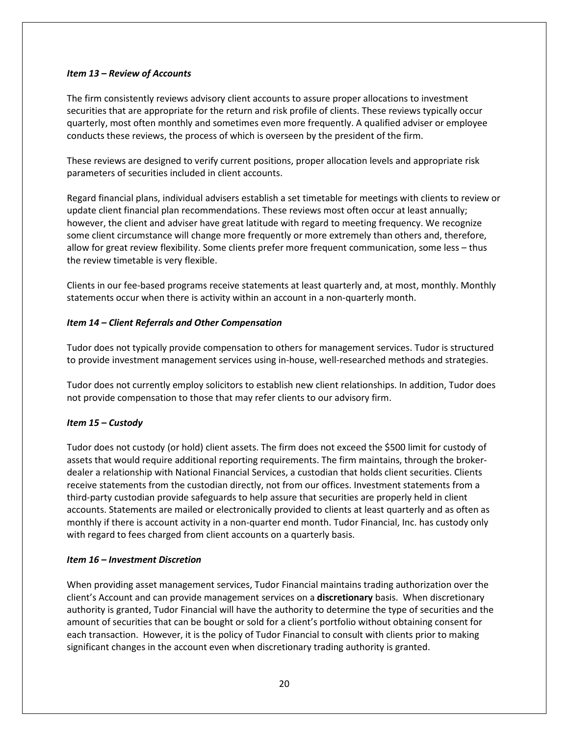### <span id="page-19-0"></span>*Item 13 – Review of Accounts*

The firm consistently reviews advisory client accounts to assure proper allocations to investment securities that are appropriate for the return and risk profile of clients. These reviews typically occur quarterly, most often monthly and sometimes even more frequently. A qualified adviser or employee conducts these reviews, the process of which is overseen by the president of the firm.

These reviews are designed to verify current positions, proper allocation levels and appropriate risk parameters of securities included in client accounts.

Regard financial plans, individual advisers establish a set timetable for meetings with clients to review or update client financial plan recommendations. These reviews most often occur at least annually; however, the client and adviser have great latitude with regard to meeting frequency. We recognize some client circumstance will change more frequently or more extremely than others and, therefore, allow for great review flexibility. Some clients prefer more frequent communication, some less – thus the review timetable is very flexible.

Clients in our fee-based programs receive statements at least quarterly and, at most, monthly. Monthly statements occur when there is activity within an account in a non-quarterly month.

### <span id="page-19-1"></span>*Item 14 – Client Referrals and Other Compensation*

Tudor does not typically provide compensation to others for management services. Tudor is structured to provide investment management services using in-house, well-researched methods and strategies.

Tudor does not currently employ solicitors to establish new client relationships. In addition, Tudor does not provide compensation to those that may refer clients to our advisory firm.

### <span id="page-19-2"></span>*Item 15 – Custody*

Tudor does not custody (or hold) client assets. The firm does not exceed the \$500 limit for custody of assets that would require additional reporting requirements. The firm maintains, through the brokerdealer a relationship with National Financial Services, a custodian that holds client securities. Clients receive statements from the custodian directly, not from our offices. Investment statements from a third-party custodian provide safeguards to help assure that securities are properly held in client accounts. Statements are mailed or electronically provided to clients at least quarterly and as often as monthly if there is account activity in a non-quarter end month. Tudor Financial, Inc. has custody only with regard to fees charged from client accounts on a quarterly basis.

#### <span id="page-19-3"></span>*Item 16 – Investment Discretion*

When providing asset management services, Tudor Financial maintains trading authorization over the client's Account and can provide management services on a **discretionary** basis. When discretionary authority is granted, Tudor Financial will have the authority to determine the type of securities and the amount of securities that can be bought or sold for a client's portfolio without obtaining consent for each transaction. However, it is the policy of Tudor Financial to consult with clients prior to making significant changes in the account even when discretionary trading authority is granted.